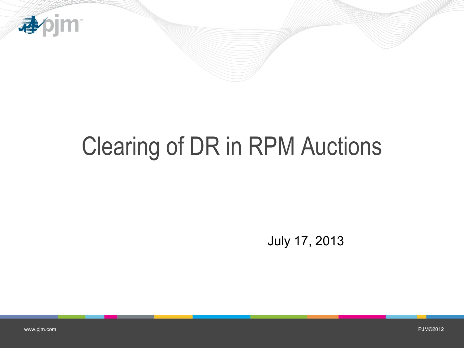

# Clearing of DR in RPM Auctions

July 17, 2013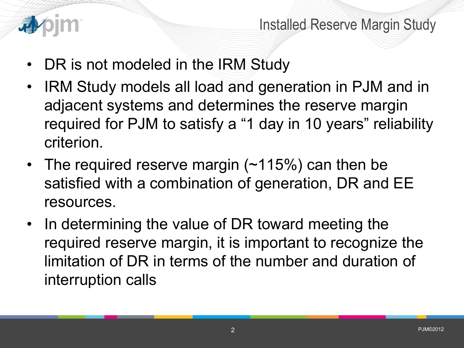

- DR is not modeled in the IRM Study
- IRM Study models all load and generation in PJM and in adjacent systems and determines the reserve margin required for PJM to satisfy a "1 day in 10 years" reliability criterion.
- The required reserve margin (~115%) can then be satisfied with a combination of generation, DR and EE resources.
- In determining the value of DR toward meeting the required reserve margin, it is important to recognize the limitation of DR in terms of the number and duration of interruption calls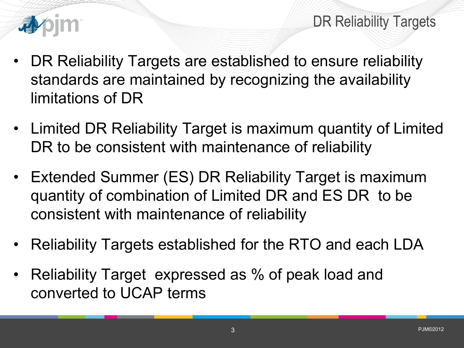

DR Reliability Targets

- DR Reliability Targets are established to ensure reliability standards are maintained by recognizing the availability limitations of DR
- Limited DR Reliability Target is maximum quantity of Limited DR to be consistent with maintenance of reliability
- Extended Summer (ES) DR Reliability Target is maximum quantity of combination of Limited DR and ES DR to be consistent with maintenance of reliability
- Reliability Targets established for the RTO and each LDA
- Reliability Target expressed as % of peak load and converted to UCAP terms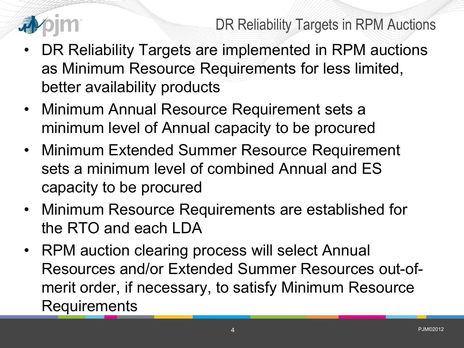

DR Reliability Targets in RPM Auctions

- DR Reliability Targets are implemented in RPM auctions as Minimum Resource Requirements for less limited, better availability products
- Minimum Annual Resource Requirement sets a minimum level of Annual capacity to be procured
- Minimum Extended Summer Resource Requirement sets a minimum level of combined Annual and ES capacity to be procured
- Minimum Resource Requirements are established for the RTO and each LDA
- RPM auction clearing process will select Annual Resources and/or Extended Summer Resources out-ofmerit order, if necessary, to satisfy Minimum Resource **Requirements**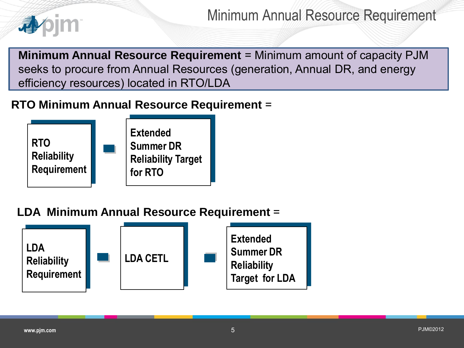

Minimum Annual Resource Requirement

**Minimum Annual Resource Requirement** = Minimum amount of capacity PJM seeks to procure from Annual Resources (generation, Annual DR, and energy efficiency resources) located in RTO/LDA

#### **RTO Minimum Annual Resource Requirement** =



#### **LDA Minimum Annual Resource Requirement** =

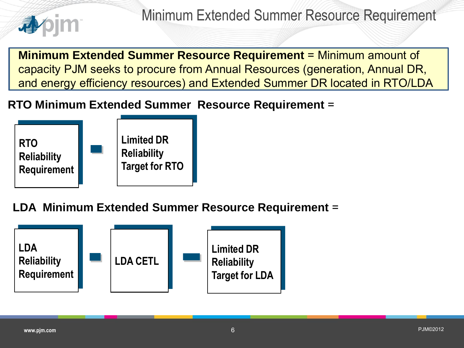

**Minimum Extended Summer Resource Requirement** = Minimum amount of capacity PJM seeks to procure from Annual Resources (generation, Annual DR, and energy efficiency resources) and Extended Summer DR located in RTO/LDA

#### **RTO Minimum Extended Summer Resource Requirement** =



**LDA Minimum Extended Summer Resource Requirement** =

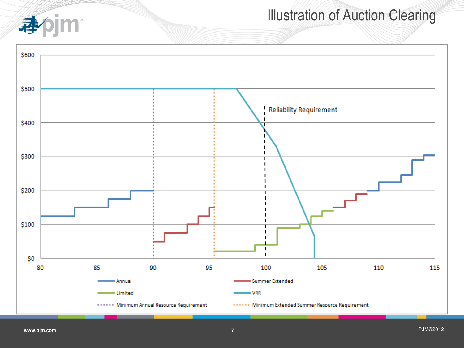

## Illustration of Auction Clearing

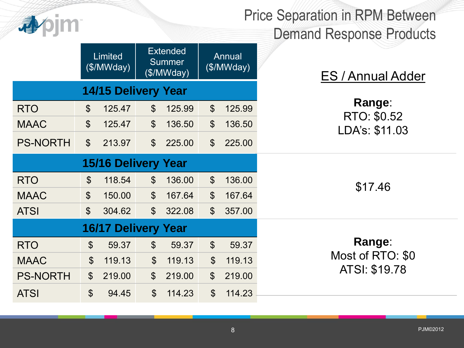

Price Separation in RPM Between Demand Response Products

|                            | Limited<br>(\$/MWday)      |        | <b>Extended</b><br><b>Summer</b><br>(\$/MWday) |        | <b>Annual</b><br>(\$/MWday) |        | <b>ES / Annual Adder</b>                    |
|----------------------------|----------------------------|--------|------------------------------------------------|--------|-----------------------------|--------|---------------------------------------------|
| <b>14/15 Delivery Year</b> |                            |        |                                                |        |                             |        |                                             |
| <b>RTO</b>                 | $\boldsymbol{\mathcal{S}}$ | 125.47 | $\boldsymbol{\mathsf{S}}$                      | 125.99 | $\boldsymbol{\mathsf{S}}$   | 125.99 | Range:<br>RTO: \$0.52<br>LDA's: \$11.03     |
| <b>MAAC</b>                | $\boldsymbol{\mathsf{S}}$  | 125.47 | $\boldsymbol{\mathsf{S}}$                      | 136.50 | $\boldsymbol{\theta}$       | 136.50 |                                             |
| <b>PS-NORTH</b>            | $\boldsymbol{\mathsf{S}}$  | 213.97 | $\boldsymbol{\mathsf{S}}$                      | 225.00 | $\mathcal{S}$               | 225.00 |                                             |
| <b>15/16 Delivery Year</b> |                            |        |                                                |        |                             |        |                                             |
| <b>RTO</b>                 | $\mathbb{S}$               | 118.54 | $\boldsymbol{\mathsf{S}}$                      | 136.00 | $\mathcal{S}$               | 136.00 | \$17.46                                     |
| <b>MAAC</b>                | $\boldsymbol{\mathcal{S}}$ | 150.00 | $\boldsymbol{\mathsf{S}}$                      | 167.64 | $\boldsymbol{\mathcal{S}}$  | 167.64 |                                             |
| <b>ATSI</b>                | $\boldsymbol{\mathsf{S}}$  | 304.62 | $\mathbb{S}$                                   | 322.08 | $\mathcal{S}$               | 357.00 |                                             |
| <b>16/17 Delivery Year</b> |                            |        |                                                |        |                             |        |                                             |
| <b>RTO</b>                 | $\boldsymbol{\mathsf{S}}$  | 59.37  | $\boldsymbol{\mathsf{S}}$                      | 59.37  | $\boldsymbol{\mathsf{S}}$   | 59.37  | Range:<br>Most of RTO: \$0<br>ATSI: \$19.78 |
| <b>MAAC</b>                | $\mathfrak{S}$             | 119.13 | $\boldsymbol{\mathsf{S}}$                      | 119.13 | $\boldsymbol{\mathsf{S}}$   | 119.13 |                                             |
| <b>PS-NORTH</b>            | $\boldsymbol{\mathsf{S}}$  | 219.00 | $\boldsymbol{\mathsf{S}}$                      | 219.00 | $\boldsymbol{\mathsf{S}}$   | 219.00 |                                             |
| <b>ATSI</b>                | $\boldsymbol{\mathsf{S}}$  | 94.45  | $\boldsymbol{\mathsf{S}}$                      | 114.23 | $\boldsymbol{\mathsf{S}}$   | 114.23 |                                             |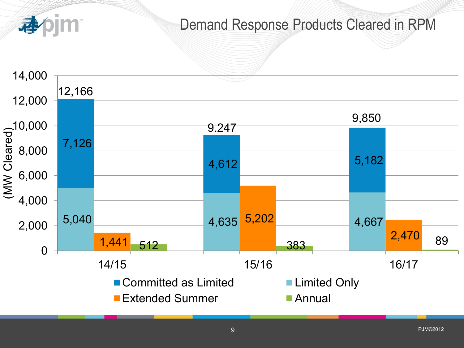

■ Extended Summer Annual